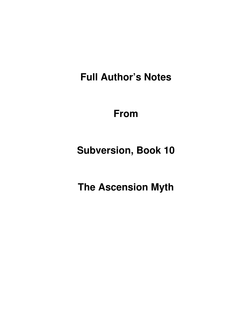**Full Author's Notes** 

**From**

**Subversion, Book 10** 

**The Ascension Myth**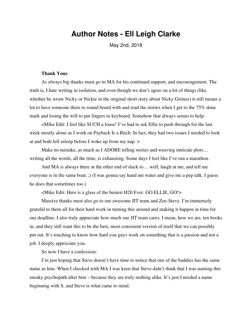# **Author Notes - Ell Leigh Clarke**

May 2nd, 2018

# **Thank Yous**

As always big thanks must go to MA for his continued support, and encouragement. The truth is, I hate writing in isolation, and even though we don't agree on a lot of things (like whether he wrote Nicky or Nickie in the original short story about Nicky Grimes) it still means a lot to have someone there to sound board with and read the stories when I get to the 75% done mark and losing the will to put fingers to keyboard. Somehow that always seems to help.

<Mike Edit: I feel like SUCH a louse! I've had to ask Ellie to push through for the last week mostly alone as I work on Payback Is a Bitch. In fact, they had two issues I needed to look at and both fell asleep before I woke up from my nap. >

Make no mistake, as much as I ADORE telling stories and weaving intricate plots... writing all the words, all the time, is exhausting. Some days I feel like I've run a marathon.

And MA is always there at the other end of slack to… well, laugh at me, and tell me everyone is in the same boat. ;) (I was gonna say hand me water and give me a pep talk. I guess he does that sometimes too.)

# <Mike Edit: Here is a glass of the bestest H20 Ever. GO ELLIE, GO!>

Massive thanks must also go to our awesome JIT team and Zen-Steve. I'm immensely grateful to them all for their hard work in turning this around and making it happen in time for our deadline. I also truly appreciate how much our JIT team cares. I mean, here we are, ten books in, and they still want this to be the best, most consistent version of itself that we can possibly put out. It's touching to know how hard you guys work on something that is a passion and not a job. I deeply appreciate you.

So now I have a confession:

I'm just hoping that Steve doesn't have time to notice that one of the baddies has the same name as him. When I checked with MA I was keen that Steve didn't think that I was naming this sneaky psychopath after him – because they are truly nothing alike. It's just I needed a name beginning with S, and Steve is what came to mind.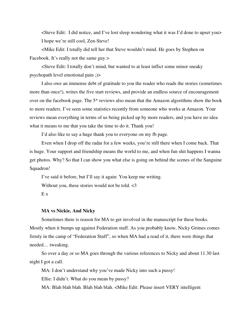<Steve Edit: I did notice, and I've lost sleep wondering what it was I'd done to upset you> I hope we're still cool, Zen-Steve!

<Mike Edit: I totally did tell her that Steve wouldn't mind. He goes by Stephen on Facebook. It's really not the same guy.>

<Steve Edit: I totally don't mind, but wanted to at least inflict some minor sneaky psychopath level emotional pain ;)>

I also owe an immense debt of gratitude to you the reader who reads the stories (sometimes more than once!), writes the five start reviews, and provide an endless source of encouragement over on the facebook page. The 5\* reviews also mean that the Amazon algorithms show the book to more readers. I've seen some statistics recently from someone who works at Amazon. Your reviews mean everything in terms of us being picked up by more readers, and you have no idea what it means to me that you take the time to do it. Thank you!

I'd also like to say a huge thank you to everyone on my fb page.

Even when I drop off the radar for a few weeks, you're still there when I come back. That is huge. Your support and friendship means the world to me, and when fun shit happens I wanna get photos. Why? So that I can show you what else is going on behind the scenes of the Sanguine Squadron!

I've said it before, but I'll say it again: You keep me writing. Without you, these stories would not be told. <3 E x

# **MA vs Nickie. And Nicky**

Sometimes there is reason for MA to get involved in the manuscript for these books. Mostly when it bumps up against Federation stuff. As you probably know, Nicky Grimes comes firmly in the camp of "Federation Stuff", so when MA had a read of it, there were things that needed… tweaking.

So over a day or so MA goes through the various references to Nicky and about 11.30 last night I got a call.

MA: I don't understand why you've made Nicky into such a pussy!

Ellie: I didn't. What do you mean by pussy?

MA: Blah blah blah. Blah blah blah. <Mike Edit: Please insert VERY intelligent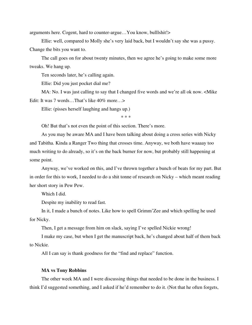arguments here. Cogent, hard to counter-argue…You know, bulllshit!>

Ellie: well, compared to Molly she's very laid back, but I wouldn't say she was a pussy. Change the bits you want to.

The call goes on for about twenty minutes, then we agree he's going to make some more tweaks. We hang up.

Ten seconds later, he's calling again.

Ellie: Did you just pocket dial me?

MA: No. I was just calling to say that I changed five words and we're all ok now. <Mike Edit: It was 7 words…That's like 40% more…>

Ellie: (pisses herself laughing and hangs up.)

\* \* \*

Oh! But that's not even the point of this section. There's more.

As you may be aware MA and I have been talking about doing a cross series with Nicky and Tabitha. Kinda a Ranger Two thing that crosses time. Anyway, we both have waaaay too much writing to do already, so it's on the back burner for now, but probably still happening at some point.

Anyway, we've worked on this, and I've thrown together a bunch of beats for my part. But in order for this to work, I needed to do a shit tonne of research on Nicky – which meant reading her short story in Pew Pew.

Which I did.

Despite my inability to read fast.

In it, I made a bunch of notes. Like how to spell Grimm'Zee and which spelling he used for Nicky.

Then, I get a message from him on slack, saying I've spelled Nickie wrong!

I make my case, but when I get the manuscript back, he's changed about half of them back to Nickie.

All I can say is thank goodness for the "find and replace" function.

## **MA vs Tony Robbins**

The other week MA and I were discussing things that needed to be done in the business. I think I'd suggested something, and I asked if he'd remember to do it. (Not that he often forgets,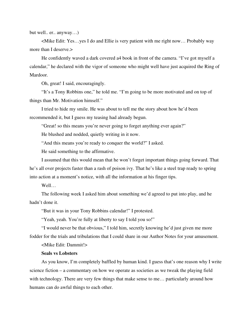but well.. er.. anyway…)

<Mike Edit: Yes…yes I do and Ellie is very patient with me right now… Probably way more than I deserve.>

He confidently waved a dark covered a4 book in front of the camera. "I've got myself a calendar," he declared with the vigor of someone who might well have just acquired the Ring of Mardoor.

Oh, great! I said, encouragingly.

"It's a Tony Robbins one," he told me. "I'm going to be more motivated and on top of things than Mr. Motivation himself."

I tried to hide my smile. He was about to tell me the story about how he'd been recommended it, but I guess my teasing had already begun.

"Great! so this means you're never going to forget anything ever again?"

He blushed and nodded, quietly writing in it now.

"And this means you're ready to conquer the world?" I asked.

He said something to the affirmative.

I assumed that this would mean that he won't forget important things going forward. That he's all over projects faster than a rash of poison ivy. That he's like a steel trap ready to spring into action at a moment's notice, with all the information at his finger tips.

Well…

The following week I asked him about something we'd agreed to put into play, and he hadn't done it.

"But it was in your Tony Robbins calendar!" I protested.

"Yeah, yeah. You're fully at liberty to say I told you so!"

"I would never be that obvious," I told him, secretly knowing he'd just given me more fodder for the trials and tribulations that I could share in our Author Notes for your amusement.

<Mike Edit: Dammit!>

# **Seals vs Lobsters**

As you know, I'm completely baffled by human kind. I guess that's one reason why I write science fiction – a commentary on how we operate as societies as we tweak the playing field with technology. There are very few things that make sense to me... particularly around how humans can do awful things to each other.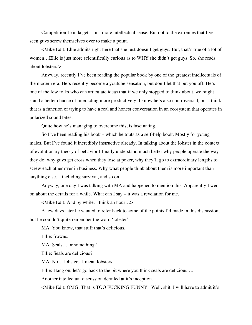Competition I kinda get – in a more intellectual sense. But not to the extremes that I've seen guys screw themselves over to make a point.

<Mike Edit: Ellie admits right here that she just doesn't get guys. But, that's true of a lot of women…Ellie is just more scientifically curious as to WHY she didn't get guys. So, she reads about lobsters.>

Anyway, recently I've been reading the popular book by one of the greatest intellectuals of the modern era. He's recently become a youtube sensation, but don't let that put you off. He's one of the few folks who can articulate ideas that if we only stopped to think about, we might stand a better chance of interacting more productively. I know he's also controversial, but I think that is a function of trying to have a real and honest conversation in an ecosystem that operates in polarized sound bites.

Quite how he's managing to overcome this, is fascinating.

So I've been reading his book – which he touts as a self-help book. Mostly for young males. But I've found it incredibly instructive already. In talking about the lobster in the context of evolutionary theory of behavior I finally understand much better why people operate the way they do: why guys get cross when they lose at poker, why they'll go to extraordinary lengths to screw each other over in business. Why what people think about them is more important than anything else… including survival, and so on.

Anyway, one day I was talking with MA and happened to mention this. Apparently I went on about the details for a while. What can I say – it was a revelation for me.

<Mike Edit: And by while, I think an hour…>

A few days later he wanted to refer back to some of the points I'd made in this discussion, but he couldn't quite remember the word 'lobster'.

MA: You know, that stuff that's delicious.

Ellie: frowns.

MA: Seals… or something?

Ellie: Seals are delicious?

MA: No… lobsters. I mean lobsters.

Ellie: Hang on, let's go back to the bit where you think seals are delicious….

Another intellectual discussion derailed at it's inception.

<Mike Edit: OMG! That is TOO FUCKING FUNNY. Well, shit. I will have to admit it's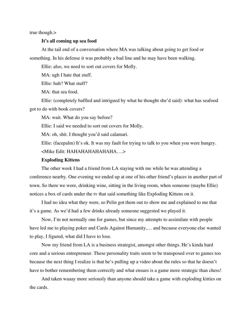true though.>

### **It's all coming up sea food**

At the tail end of a conversation where MA was talking about going to get food or something. In his defense it was probably a bad line and he may have been walking.

Ellie: also, we need to sort out covers for Molly.

MA: ugh I hate that stuff.

Ellie: huh? What stuff?

MA: that sea food.

Ellie: (completely baffled and intrigued by what he thought she'd said): what has seafood got to do with book covers?

MA: wait. What do you say before?

Ellie: I said we needed to sort out covers for Molly.

MA: oh, shit. I thought you'd said calamari.

Ellie: (facepalm) It's ok. It was my fault for trying to talk to you when you were hungry. <Mike Edit: HAHAHAHAHAHAHA….>

#### **Exploding Kittens**

The other week I had a friend from LA staying with me while he was attending a conference nearby. One evening we ended up at one of his other friend's places in another part of town. So there we were, drinking wine, sitting in the living room, when someone (maybe Ellie) notices a box of cards under the tv that said something like Exploding Kittens on it.

I had no idea what they were, so Pelin got them out to show me and explained to me that it's a game. As we'd had a few drinks already someone suggested we played it.

Now, I'm not normally one for games, but since my attempts to assimilate with people have led me to playing poker and Cards Against Humanity,… and because everyone else wanted to play, I figured, what did I have to lose.

Now my friend from LA is a business strategist, amongst other things. He's kinda hard core and a serious entrepreneur. These personality traits seem to be transposed over to games too because the next thing I realize is that he's pulling up a video about the rules so that he doesn't have to bother remembering them correctly and what ensues is a game more strategic than chess!

And taken waaay more seriously than anyone should take a game with exploding kitties on the cards.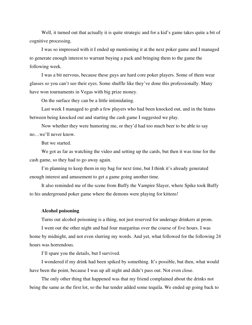Well, it turned out that actually it is quite strategic and for a kid's game takes quite a bit of cognitive processing.

I was so impressed with it I ended up mentioning it at the next poker game and I managed to generate enough interest to warrant buying a pack and bringing them to the game the following week.

I was a bit nervous, because these guys are hard core poker players. Some of them wear glasses so you can't see their eyes. Some shuffle like they've done this professionally. Many have won tournaments in Vegas with big prize money.

On the surface they can be a little intimidating.

Last week I managed to grab a few players who had been knocked out, and in the hiatus between being knocked out and starting the cash game I suggested we play.

Now whether they were humoring me, or they'd had too much beer to be able to say no…we'll never know.

But we started.

We got as far as watching the video and setting up the cards, but then it was time for the cash game, so they had to go away again.

I'm planning to keep them in my bag for next time, but I think it's already generated enough interest and amusement to get a game going another time.

It also reminded me of the scene from Buffy the Vampire Slayer, where Spike took Buffy to his underground poker game where the demons were playing for kittens!

## **Alcohol poisoning**

Turns out alcohol poisoning is a thing, not just reserved for underage drinkers at prom.

I went out the other night and had four margaritas over the course of five hours. I was home by midnight, and not even slurring my words. And yet, what followed for the following 24 hours was horrendous.

I'll spare you the details, but I survived.

I wondered if my drink had been spiked by something. It's possible, but then, what would have been the point, because I was up all night and didn't pass out. Not even close.

The only other thing that happened was that my friend complained about the drinks not being the same as the first lot, so the bar tender added some tequila. We ended up going back to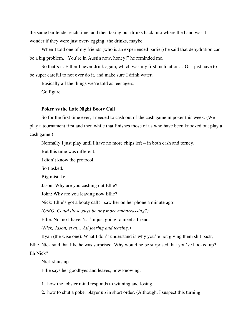the same bar tender each time, and then taking our drinks back into where the band was. I wonder if they were just over-'egging' the drinks, maybe.

When I told one of my friends (who is an experienced partier) he said that dehydration can be a big problem. "You're in Austin now, honey!" he reminded me.

So that's it. Either I never drink again, which was my first inclination… Or I just have to be super careful to not over do it, and make sure I drink water.

Basically all the things we're told as teenagers.

Go figure.

# **Poker vs the Late Night Booty Call**

So for the first time ever, I needed to cash out of the cash game in poker this week. (We play a tournament first and then while that finishes those of us who have been knocked out play a cash game.)

Normally I just play until I have no more chips left – in both cash and torney.

But this time was different.

I didn't know the protocol.

So I asked.

Big mistake.

Jason: Why are you cashing out Ellie?

John: Why are you leaving now Ellie?

Nick: Ellie's got a booty call! I saw her on her phone a minute ago!

*(OMG. Could these guys be any more embarrassing?)*

Ellie: No. no I haven't. I'm just going to meet a friend.

*(Nick, Jason, et al… All jeering and teasing.)*

Ryan (the wise one): What I don't understand is why you're not giving them shit back,

Ellie. Nick said that like he was surprised. Why would he be surprised that you've hooked up? Eh Nick?

Nick shuts up.

Ellie says her goodbyes and leaves, now knowing:

- 1. how the lobster mind responds to winning and losing,
- 2. how to shut a poker player up in short order. (Although, I suspect this turning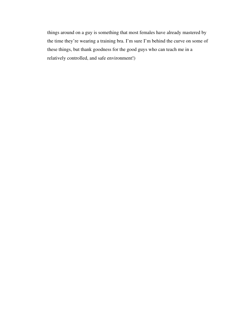things around on a guy is something that most females have already mastered by the time they're wearing a training bra. I'm sure I'm behind the curve on some of these things, but thank goodness for the good guys who can teach me in a relatively controlled, and safe environment!)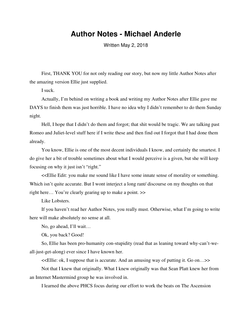# **Author Notes - Michael Anderle**

Written May 2, 2018

First, THANK YOU for not only reading our story, but now my little Author Notes after the amazing version Ellie just supplied.

I suck.

Actually, I'm behind on writing a book and writing my Author Notes after Ellie gave me DAYS to finish them was just horrible. I have no idea why I didn't remember to do them Sunday night.

Hell, I hope that I didn't do them and forgot; that shit would be tragic. We are talking past Romeo and Juliet-level stuff here if I write these and then find out I forgot that I had done them already.

You know, Ellie is one of the most decent individuals I know, and certainly the smartest. I do give her a bit of trouble sometimes about what I would perceive is a given, but she will keep focusing on why it just isn't "right."

<<Ellie Edit: you make me sound like I have some innate sense of morality or something. Which isn't quite accurate. But I wont interject a long rant/ discourse on my thoughts on that right here… You're clearly gearing up to make a point. >>

Like Lobsters.

If you haven't read her Author Notes, you really must. Otherwise, what I'm going to write here will make absolutely no sense at all.

No, go ahead, I'll wait…

Ok, you back? Good!

So, Ellie has been pro-humanity con-stupidity (read that as leaning toward why-can't-weall-just-get-along) ever since I have known her.

<<Ellie: ok, I suppose that is accurate. And an amusing way of putting it. Go on…>>

Not that I knew that originally. What I knew originally was that Sean Platt knew her from an Internet Mastermind group he was involved in.

I learned the above PHCS focus during our effort to work the beats on The Ascension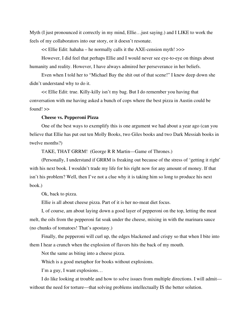Myth (I just pronounced it correctly in my mind, Ellie…just saying.) and I LIKE to work the feels of my collaborators into our story, or it doesn't resonate.

<< Ellie Edit: hahaha – he normally calls it the AXE-cension myth! >>>

However, I did feel that perhaps Ellie and I would never see eye-to-eye on things about humanity and reality. However, I have always admired her perseverance in her beliefs.

Even when I told her to "Michael Bay the shit out of that scene!" I knew deep down she didn't understand why to do it.

<< Ellie Edit: true. Killy-killy isn't my bag. But I do remember you having that conversation with me having asked a bunch of cops where the best pizza in Austin could be found! >>

# **Cheese vs. Pepperoni Pizza**

One of the best ways to exemplify this is one argument we had about a year ago (can you believe that Ellie has put out ten Molly Books, two Giles books and two Dark Messiah books in twelve months?)

TAKE, THAT GRRM! (George R R Martin—Game of Thrones.)

(Personally, I understand if GRRM is freaking out because of the stress of 'getting it right' with his next book. I wouldn't trade my life for his right now for any amount of money. If that isn't his problem? Well, then I've not a clue why it is taking him so long to produce his next book.)

Ok, back to pizza.

Ellie is all about cheese pizza. Part of it is her no-meat diet focus.

I, of course, am about laying down a good layer of pepperoni on the top, letting the meat melt, the oils from the pepperoni fat soak under the cheese, mixing in with the marinara sauce (no chunks of tomatoes! That's apostasy.)

Finally, the pepperoni will curl up, the edges blackened and crispy so that when I bite into them I hear a crunch when the explosion of flavors hits the back of my mouth.

Not the same as biting into a cheese pizza.

Which is a good metaphor for books without explosions.

I'm a guy, I want explosions…

I do like looking at trouble and how to solve issues from multiple directions. I will admit without the need for torture—that solving problems intellectually IS the better solution.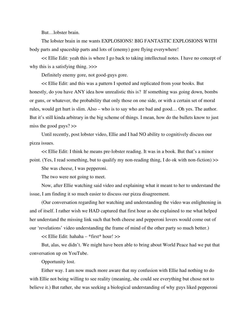But…lobster brain.

The lobster brain in me wants EXPLOSIONS! BIG FANTASTIC EXPLOSIONS WITH body parts and spaceship parts and lots of (enemy) gore flying everywhere!

<< Ellie Edit: yeah this is where I go back to taking intellectual notes. I have no concept of why this is a satisfying thing.  $\gg$ 

Definitely enemy gore, not good-guys gore.

<< Ellie Edit: and this was a pattern I spotted and replicated from your books. But honestly, do you have ANY idea how unrealistic this is? If something was going down, bombs or guns, or whatever, the probability that only those on one side, or with a certain set of moral rules, would get hurt is slim. Also – who is to say who are bad and good… Oh yes. The author. But it's still kinda arbitrary in the big scheme of things. I mean, how do the bullets know to just miss the good guys? >>

Until recently, post lobster video, Ellie and I had NO ability to cognitively discuss our pizza issues.

<< Ellie Edit: I think he means pre-lobster reading. It was in a book. But that's a minor point. (Yes, I read something, but to qualify my non-reading thing, I do ok with non-fiction) >> She was cheese, I was pepperoni.

The two were not going to meet.

Now, after Ellie watching said video and explaining what it meant to her to understand the issue, I am finding it so much easier to discuss our pizza disagreement.

(Our conversation regarding her watching and understanding the video was enlightening in and of itself. I rather wish we HAD captured that first hour as she explained to me what helped her understand the missing link such that both cheese and pepperoni lovers would come out of our 'revelations' video understanding the frame of mind of the other party so much better.)

<< Ellie Edit: hahaha – \*first\* hour! >>

But, alas, we didn't. We might have been able to bring about World Peace had we put that conversation up on YouTube.

Opportunity lost.

Either way. I am now much more aware that my confusion with Ellie had nothing to do with Ellie not being willing to see reality (meaning, she could see everything but chose not to believe it.) But rather, she was seeking a biological understanding of why guys liked pepperoni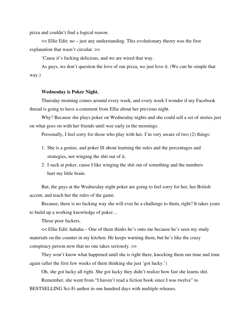pizza and couldn't find a logical reason.

<< Ellie Edit: no – just any understanding. This evolutionary theory was the first explanation that wasn't circular. >>

'Cause it's fucking delicious, and we are wired that way.

As guys, we don't question the love of our pizza, we just love it. (We can be simple that way.)

## **Wednesday is Poker Night.**

Thursday morning comes around every week, and every week I wonder if my Facebook thread is going to have a comment from Ellie about her previous night.

Why? Because she plays poker on Wednesday nights and she could sell a set of stories just on what goes on with her friends until wee early in the mornings.

Personally, I feel sorry for those who play with her. I'm very aware of two (2) things:

- 1. She is a genius, and poker IS about learning the rules and the percentages and strategies, not winging the shit out of it.
- 2. I suck at poker, cause I like winging the shit out of something and the numbers hurt my little brain.

But, the guys at the Wednesday night poker are going to feel sorry for her, her British accent, and teach her the rules of the game.

Because, there is no fucking way she will ever be a challenge to them, right? It takes years to build up a working knowledge of poker…

Those poor fuckers.

<< Ellie Edit: hahaha – One of them thinks he's onto me because he's seen my study materials on the counter in my kitchen. He keeps warning them, but he's like the crazy conspiracy person now that no one takes seriously. >>

They won't know what happened until she is right there, knocking them out time and time again (after the first few weeks of them thinking she just 'got lucky.')

Oh, she got lucky all right. She got lucky they didn't realize how fast she learns shit.

Remember, she went from "I haven't read a fiction book since I was twelve" to BESTSELLING Sci-Fi author in one hundred days with multiple releases.